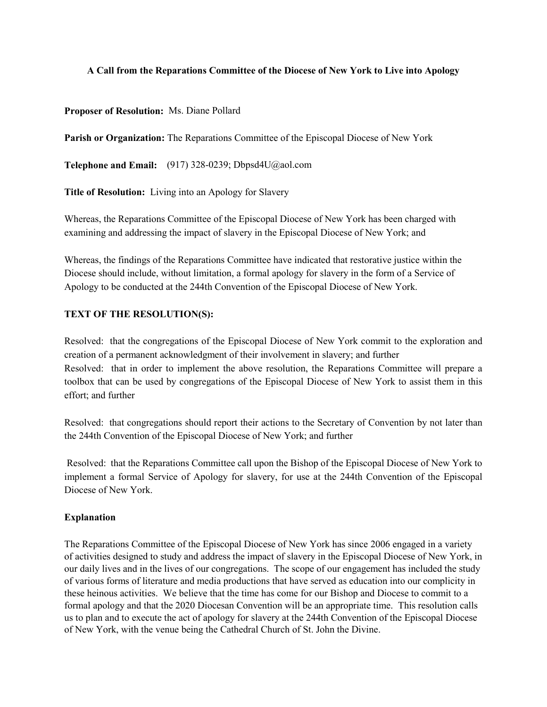## **A Call from the Reparations Committee of the Diocese of New York to Live into Apology**

## **Proposer of Resolution:** Ms. Diane Pollard

**Parish or Organization:** The Reparations Committee of the Episcopal Diocese of New York

**Telephone and Email:** (917) 328-0239; Dbpsd4U@aol.com

**Title of Resolution:** Living into an Apology for Slavery

Whereas, the Reparations Committee of the Episcopal Diocese of New York has been charged with examining and addressing the impact of slavery in the Episcopal Diocese of New York; and

Whereas, the findings of the Reparations Committee have indicated that restorative justice within the Diocese should include, without limitation, a formal apology for slavery in the form of a Service of Apology to be conducted at the 244th Convention of the Episcopal Diocese of New York.

# **TEXT OF THE RESOLUTION(S):**

Resolved: that the congregations of the Episcopal Diocese of New York commit to the exploration and creation of a permanent acknowledgment of their involvement in slavery; and further Resolved: that in order to implement the above resolution, the Reparations Committee will prepare a toolbox that can be used by congregations of the Episcopal Diocese of New York to assist them in this effort; and further

Resolved: that congregations should report their actions to the Secretary of Convention by not later than the 244th Convention of the Episcopal Diocese of New York; and further

Resolved: that the Reparations Committee call upon the Bishop of the Episcopal Diocese of New York to implement a formal Service of Apology for slavery, for use at the 244th Convention of the Episcopal Diocese of New York.

## **Explanation**

The Reparations Committee of the Episcopal Diocese of New York has since 2006 engaged in a variety of activities designed to study and address the impact of slavery in the Episcopal Diocese of New York, in our daily lives and in the lives of our congregations. The scope of our engagement has included the study of various forms of literature and media productions that have served as education into our complicity in these heinous activities. We believe that the time has come for our Bishop and Diocese to commit to a formal apology and that the 2020 Diocesan Convention will be an appropriate time. This resolution calls us to plan and to execute the act of apology for slavery at the 244th Convention of the Episcopal Diocese of New York, with the venue being the Cathedral Church of St. John the Divine.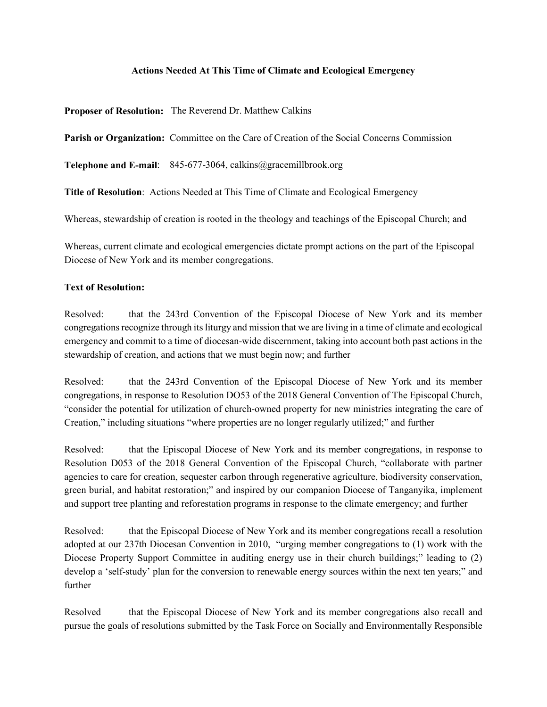## **Actions Needed At This Time of Climate and Ecological Emergency**

**Proposer of Resolution:** The Reverend Dr. Matthew Calkins

**Parish or Organization:** Committee on the Care of Creation of the Social Concerns Commission

**Telephone and E-mail**: 845-677-3064, calkins@gracemillbrook.org

**Title of Resolution**: Actions Needed at This Time of Climate and Ecological Emergency

Whereas, stewardship of creation is rooted in the theology and teachings of the Episcopal Church; and

Whereas, current climate and ecological emergencies dictate prompt actions on the part of the Episcopal Diocese of New York and its member congregations.

#### **Text of Resolution:**

Resolved: that the 243rd Convention of the Episcopal Diocese of New York and its member congregations recognize through its liturgy and mission that we are living in a time of climate and ecological emergency and commit to a time of diocesan-wide discernment, taking into account both past actions in the stewardship of creation, and actions that we must begin now; and further

Resolved: that the 243rd Convention of the Episcopal Diocese of New York and its member congregations, in response to Resolution DO53 of the 2018 General Convention of The Episcopal Church, "consider the potential for utilization of church-owned property for new ministries integrating the care of Creation," including situations "where properties are no longer regularly utilized;" and further

Resolved: that the Episcopal Diocese of New York and its member congregations, in response to Resolution D053 of the 2018 General Convention of the Episcopal Church, "collaborate with partner agencies to care for creation, sequester carbon through regenerative agriculture, biodiversity conservation, green burial, and habitat restoration;" and inspired by our companion Diocese of Tanganyika, implement and support tree planting and reforestation programs in response to the climate emergency; and further

Resolved: that the Episcopal Diocese of New York and its member congregations recall a resolution adopted at our 237th Diocesan Convention in 2010, "urging member congregations to (1) work with the Diocese Property Support Committee in auditing energy use in their church buildings;" leading to (2) develop a 'self-study' plan for the conversion to renewable energy sources within the next ten years;" and further

Resolved that the Episcopal Diocese of New York and its member congregations also recall and pursue the goals of resolutions submitted by the Task Force on Socially and Environmentally Responsible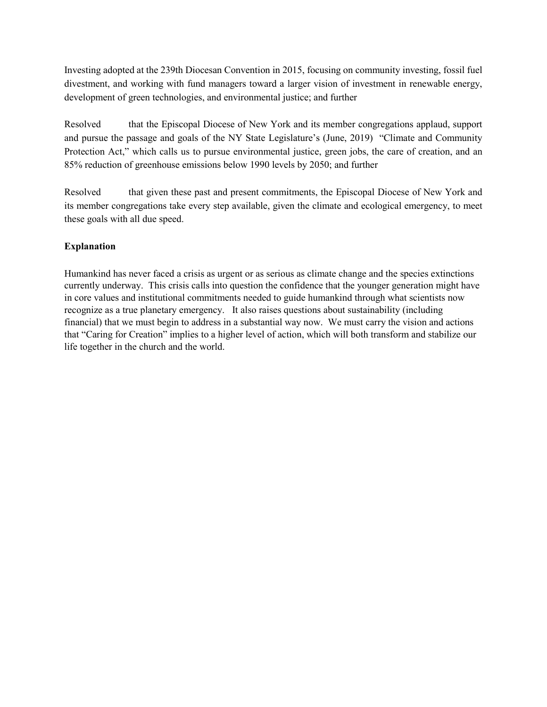Investing adopted at the 239th Diocesan Convention in 2015, focusing on community investing, fossil fuel divestment, and working with fund managers toward a larger vision of investment in renewable energy, development of green technologies, and environmental justice; and further

Resolved that the Episcopal Diocese of New York and its member congregations applaud, support and pursue the passage and goals of the NY State Legislature's (June, 2019) "Climate and Community Protection Act," which calls us to pursue environmental justice, green jobs, the care of creation, and an 85% reduction of greenhouse emissions below 1990 levels by 2050; and further

Resolved that given these past and present commitments, the Episcopal Diocese of New York and its member congregations take every step available, given the climate and ecological emergency, to meet these goals with all due speed.

# **Explanation**

Humankind has never faced a crisis as urgent or as serious as climate change and the species extinctions currently underway. This crisis calls into question the confidence that the younger generation might have in core values and institutional commitments needed to guide humankind through what scientists now recognize as a true planetary emergency. It also raises questions about sustainability (including financial) that we must begin to address in a substantial way now. We must carry the vision and actions that "Caring for Creation" implies to a higher level of action, which will both transform and stabilize our life together in the church and the world.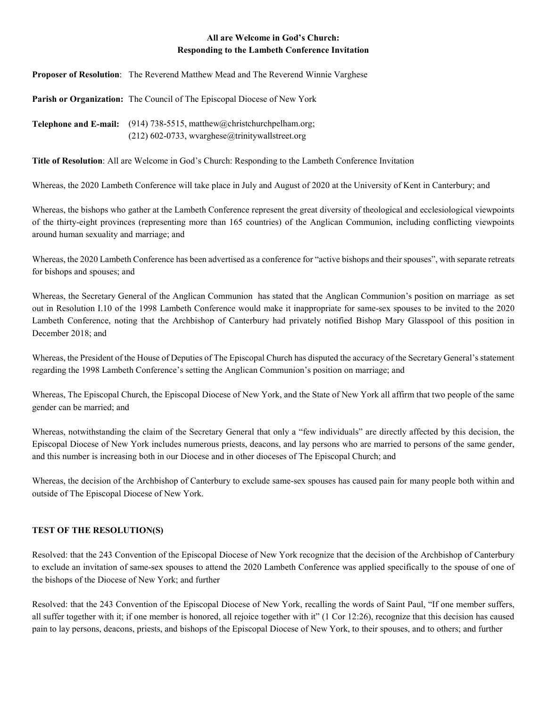## **All are Welcome in God's Church: Responding to the Lambeth Conference Invitation**

**Proposer of Resolution**: The Reverend Matthew Mead and The Reverend Winnie Varghese

**Parish or Organization:** The Council of The Episcopal Diocese of New York

**Telephone and E-mail:** (914) 738-5515, matthew@christchurchpelham.org; (212) 602-0733, wvarghese@trinitywallstreet.org

**Title of Resolution**: All are Welcome in God's Church: Responding to the Lambeth Conference Invitation

Whereas, the 2020 Lambeth Conference will take place in July and August of 2020 at the University of Kent in Canterbury; and

Whereas, the bishops who gather at the Lambeth Conference represent the great diversity of theological and ecclesiological viewpoints of the thirty-eight provinces (representing more than 165 countries) of the Anglican Communion, including conflicting viewpoints around human sexuality and marriage; and

Whereas, the 2020 Lambeth Conference has been advertised as a conference for "active bishops and their spouses", with separate retreats for bishops and spouses; and

Whereas, the Secretary General of the Anglican Communion has stated that the Anglican Communion's position on marriage as set out in Resolution I.10 of the 1998 Lambeth Conference would make it inappropriate for same-sex spouses to be invited to the 2020 Lambeth Conference, noting that the Archbishop of Canterbury had privately notified Bishop Mary Glasspool of this position in December 2018; and

Whereas, the President of the House of Deputies of The Episcopal Church has disputed the accuracy of the Secretary General's statement regarding the 1998 Lambeth Conference's setting the Anglican Communion's position on marriage; and

Whereas, The Episcopal Church, the Episcopal Diocese of New York, and the State of New York all affirm that two people of the same gender can be married; and

Whereas, notwithstanding the claim of the Secretary General that only a "few individuals" are directly affected by this decision, the Episcopal Diocese of New York includes numerous priests, deacons, and lay persons who are married to persons of the same gender, and this number is increasing both in our Diocese and in other dioceses of The Episcopal Church; and

Whereas, the decision of the Archbishop of Canterbury to exclude same-sex spouses has caused pain for many people both within and outside of The Episcopal Diocese of New York.

#### **TEST OF THE RESOLUTION(S)**

Resolved: that the 243 Convention of the Episcopal Diocese of New York recognize that the decision of the Archbishop of Canterbury to exclude an invitation of same-sex spouses to attend the 2020 Lambeth Conference was applied specifically to the spouse of one of the bishops of the Diocese of New York; and further

Resolved: that the 243 Convention of the Episcopal Diocese of New York, recalling the words of Saint Paul, "If one member suffers, all suffer together with it; if one member is honored, all rejoice together with it" (1 Cor 12:26), recognize that this decision has caused pain to lay persons, deacons, priests, and bishops of the Episcopal Diocese of New York, to their spouses, and to others; and further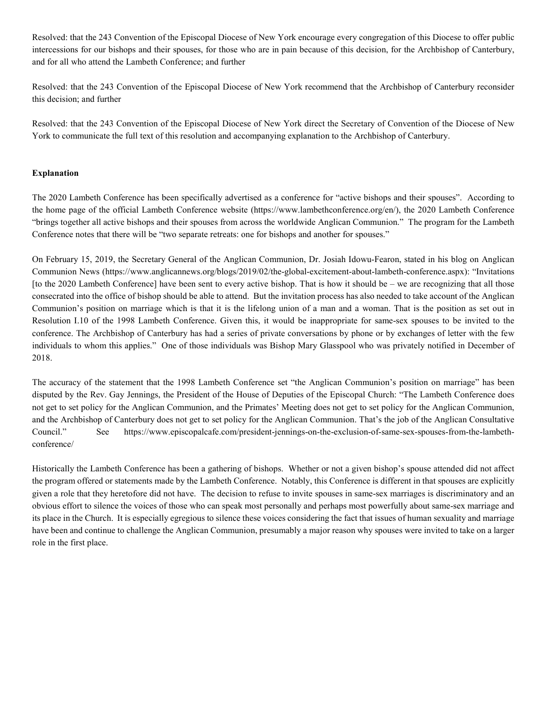Resolved: that the 243 Convention of the Episcopal Diocese of New York encourage every congregation of this Diocese to offer public intercessions for our bishops and their spouses, for those who are in pain because of this decision, for the Archbishop of Canterbury, and for all who attend the Lambeth Conference; and further

Resolved: that the 243 Convention of the Episcopal Diocese of New York recommend that the Archbishop of Canterbury reconsider this decision; and further

Resolved: that the 243 Convention of the Episcopal Diocese of New York direct the Secretary of Convention of the Diocese of New York to communicate the full text of this resolution and accompanying explanation to the Archbishop of Canterbury.

#### **Explanation**

The 2020 Lambeth Conference has been specifically advertised as a conference for "active bishops and their spouses". According to the home page of the official Lambeth Conference website (https://www.lambethconference.org/en/), the 2020 Lambeth Conference "brings together all active bishops and their spouses from across the worldwide Anglican Communion." The program for the Lambeth Conference notes that there will be "two separate retreats: one for bishops and another for spouses."

On February 15, 2019, the Secretary General of the Anglican Communion, Dr. Josiah Idowu-Fearon, stated in his blog on Anglican Communion News (https://www.anglicannews.org/blogs/2019/02/the-global-excitement-about-lambeth-conference.aspx): "Invitations [to the 2020 Lambeth Conference] have been sent to every active bishop. That is how it should be – we are recognizing that all those consecrated into the office of bishop should be able to attend. But the invitation process has also needed to take account of the Anglican Communion's position on marriage which is that it is the lifelong union of a man and a woman. That is the position as set out in Resolution I.10 of the 1998 Lambeth Conference. Given this, it would be inappropriate for same-sex spouses to be invited to the conference. The Archbishop of Canterbury has had a series of private conversations by phone or by exchanges of letter with the few individuals to whom this applies." One of those individuals was Bishop Mary Glasspool who was privately notified in December of 2018.

The accuracy of the statement that the 1998 Lambeth Conference set "the Anglican Communion's position on marriage" has been disputed by the Rev. Gay Jennings, the President of the House of Deputies of the Episcopal Church: "The Lambeth Conference does not get to set policy for the Anglican Communion, and the Primates' Meeting does not get to set policy for the Anglican Communion, and the Archbishop of Canterbury does not get to set policy for the Anglican Communion. That's the job of the Anglican Consultative Council." See https://www.episcopalcafe.com/president-jennings-on-the-exclusion-of-same-sex-spouses-from-the-lambethconference/

Historically the Lambeth Conference has been a gathering of bishops. Whether or not a given bishop's spouse attended did not affect the program offered or statements made by the Lambeth Conference. Notably, this Conference is different in that spouses are explicitly given a role that they heretofore did not have. The decision to refuse to invite spouses in same-sex marriages is discriminatory and an obvious effort to silence the voices of those who can speak most personally and perhaps most powerfully about same-sex marriage and its place in the Church. It is especially egregious to silence these voices considering the fact that issues of human sexuality and marriage have been and continue to challenge the Anglican Communion, presumably a major reason why spouses were invited to take on a larger role in the first place.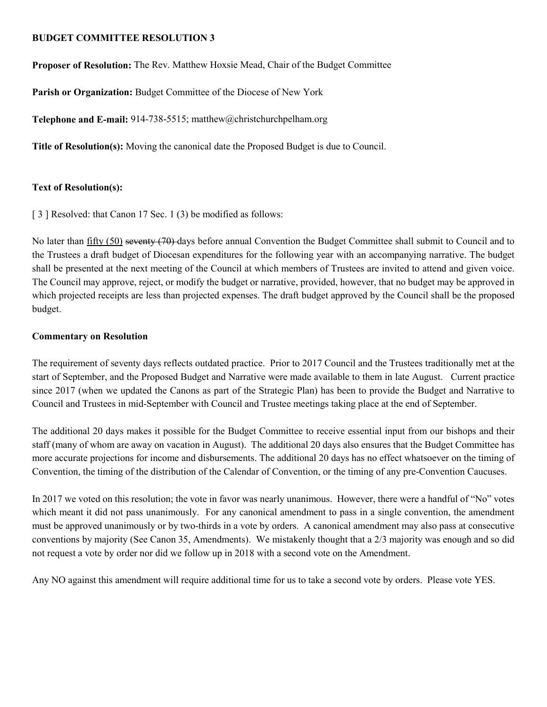## **BUDGET COMMITTEE RESOLUTION 3**

**Proposer of Resolution:** The Rev. Matthew Hoxsie Mead, Chair of the Budget Committee

**Parish or Organization:** Budget Committee of the Diocese of New York

**Telephone and E-mail:** 914-738-5515; matthew@christchurchpelham.org

**Title of Resolution(s):** Moving the canonical date the Proposed Budget is due to Council.

# **Text of Resolution(s):**

[ 3 ] Resolved: that Canon 17 Sec. 1 (3) be modified as follows:

No later than fifty (50) seventy (70) days before annual Convention the Budget Committee shall submit to Council and to the Trustees a draft budget of Diocesan expenditures for the following year with an accompanying narrative. The budget shall be presented at the next meeting of the Council at which members of Trustees are invited to attend and given voice. The Council may approve, reject, or modify the budget or narrative, provided, however, that no budget may be approved in which projected receipts are less than projected expenses. The draft budget approved by the Council shall be the proposed budget.

# **Commentary on Resolution**

The requirement of seventy days reflects outdated practice. Prior to 2017 Council and the Trustees traditionally met at the start of September, and the Proposed Budget and Narrative were made available to them in late August. Current practice since 2017 (when we updated the Canons as part of the Strategic Plan) has been to provide the Budget and Narrative to Council and Trustees in mid-September with Council and Trustee meetings taking place at the end of September.

The additional 20 days makes it possible for the Budget Committee to receive essential input from our bishops and their staff (many of whom are away on vacation in August). The additional 20 days also ensures that the Budget Committee has more accurate projections for income and disbursements. The additional 20 days has no effect whatsoever on the timing of Convention, the timing of the distribution of the Calendar of Convention, or the timing of any pre-Convention Caucuses.

In 2017 we voted on this resolution; the vote in favor was nearly unanimous. However, there were a handful of "No" votes which meant it did not pass unanimously. For any canonical amendment to pass in a single convention, the amendment must be approved unanimously or by two-thirds in a vote by orders. A canonical amendment may also pass at consecutive conventions by majority (See Canon 35, Amendments). We mistakenly thought that a 2/3 majority was enough and so did not request a vote by order nor did we follow up in 2018 with a second vote on the Amendment.

Any NO against this amendment will require additional time for us to take a second vote by orders. Please vote YES.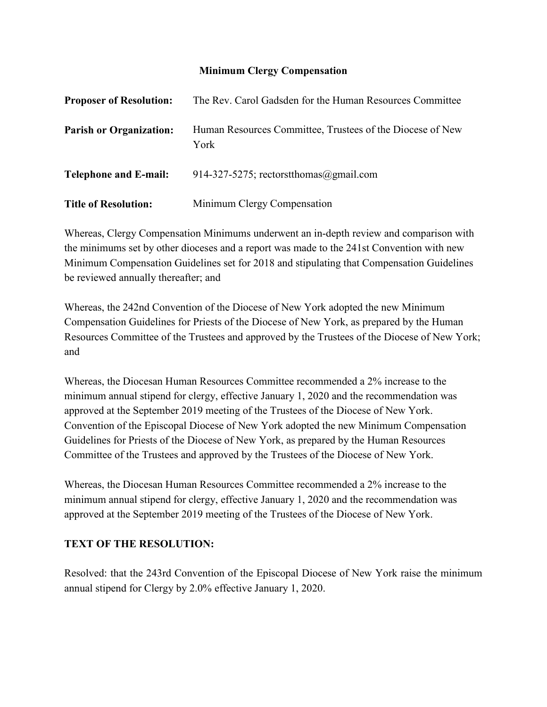# **Minimum Clergy Compensation**

| <b>Proposer of Resolution:</b> | The Rev. Carol Gadsden for the Human Resources Committee          |
|--------------------------------|-------------------------------------------------------------------|
| <b>Parish or Organization:</b> | Human Resources Committee, Trustees of the Diocese of New<br>York |
| <b>Telephone and E-mail:</b>   | 914-327-5275; rectorst thomas $\omega$ gmail.com                  |
| <b>Title of Resolution:</b>    | Minimum Clergy Compensation                                       |

Whereas, Clergy Compensation Minimums underwent an in-depth review and comparison with the minimums set by other dioceses and a report was made to the 241st Convention with new Minimum Compensation Guidelines set for 2018 and stipulating that Compensation Guidelines be reviewed annually thereafter; and

Whereas, the 242nd Convention of the Diocese of New York adopted the new Minimum Compensation Guidelines for Priests of the Diocese of New York, as prepared by the Human Resources Committee of the Trustees and approved by the Trustees of the Diocese of New York; and

Whereas, the Diocesan Human Resources Committee recommended a 2% increase to the minimum annual stipend for clergy, effective January 1, 2020 and the recommendation was approved at the September 2019 meeting of the Trustees of the Diocese of New York. Convention of the Episcopal Diocese of New York adopted the new Minimum Compensation Guidelines for Priests of the Diocese of New York, as prepared by the Human Resources Committee of the Trustees and approved by the Trustees of the Diocese of New York.

Whereas, the Diocesan Human Resources Committee recommended a 2% increase to the minimum annual stipend for clergy, effective January 1, 2020 and the recommendation was approved at the September 2019 meeting of the Trustees of the Diocese of New York.

# **TEXT OF THE RESOLUTION:**

Resolved: that the 243rd Convention of the Episcopal Diocese of New York raise the minimum annual stipend for Clergy by 2.0% effective January 1, 2020.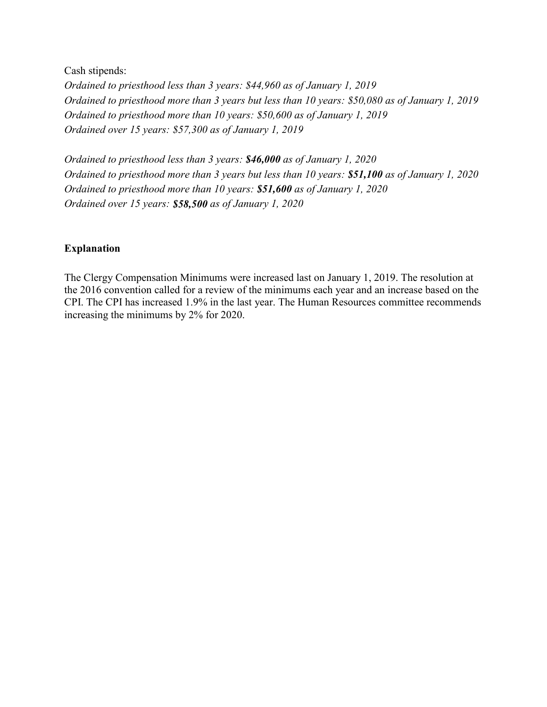Cash stipends: *Ordained to priesthood less than 3 years: \$44,960 as of January 1, 2019 Ordained to priesthood more than 3 years but less than 10 years: \$50,080 as of January 1, 2019 Ordained to priesthood more than 10 years: \$50,600 as of January 1, 2019 Ordained over 15 years: \$57,300 as of January 1, 2019*

*Ordained to priesthood less than 3 years: \$46,000 as of January 1, 2020 Ordained to priesthood more than 3 years but less than 10 years: \$51,100 as of January 1, 2020 Ordained to priesthood more than 10 years: \$51,600 as of January 1, 2020 Ordained over 15 years: \$58,500 as of January 1, 2020*

## **Explanation**

The Clergy Compensation Minimums were increased last on January 1, 2019. The resolution at the 2016 convention called for a review of the minimums each year and an increase based on the CPI. The CPI has increased 1.9% in the last year. The Human Resources committee recommends increasing the minimums by 2% for 2020.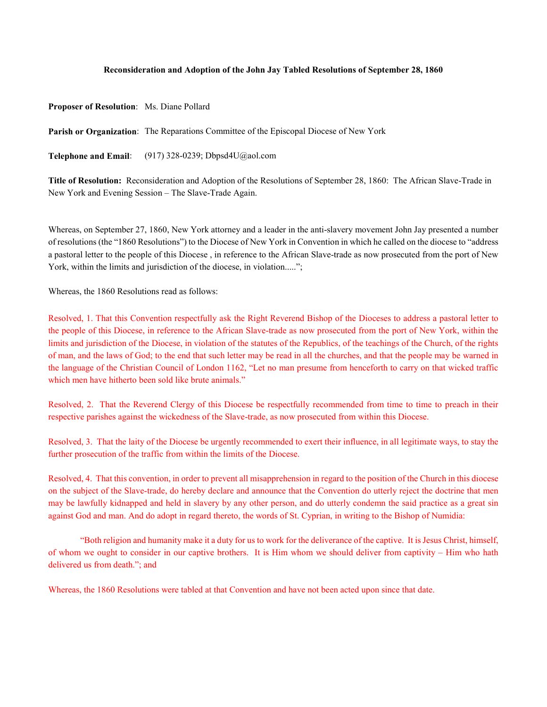#### **Reconsideration and Adoption of the John Jay Tabled Resolutions of September 28, 1860**

**Proposer of Resolution**: Ms. Diane Pollard

**Parish or Organization**: The Reparations Committee of the Episcopal Diocese of New York

**Telephone and Email**: (917) 328-0239; Dbpsd4U@aol.com

**Title of Resolution:** Reconsideration and Adoption of the Resolutions of September 28, 1860: The African Slave-Trade in New York and Evening Session – The Slave-Trade Again.

Whereas, on September 27, 1860, New York attorney and a leader in the anti-slavery movement John Jay presented a number of resolutions (the "1860 Resolutions") to the Diocese of New York in Convention in which he called on the diocese to "address a pastoral letter to the people of this Diocese , in reference to the African Slave-trade as now prosecuted from the port of New York, within the limits and jurisdiction of the diocese, in violation.....";

Whereas, the 1860 Resolutions read as follows:

Resolved, 1. That this Convention respectfully ask the Right Reverend Bishop of the Dioceses to address a pastoral letter to the people of this Diocese, in reference to the African Slave-trade as now prosecuted from the port of New York, within the limits and jurisdiction of the Diocese, in violation of the statutes of the Republics, of the teachings of the Church, of the rights of man, and the laws of God; to the end that such letter may be read in all the churches, and that the people may be warned in the language of the Christian Council of London 1162, "Let no man presume from henceforth to carry on that wicked traffic which men have hitherto been sold like brute animals."

Resolved, 2. That the Reverend Clergy of this Diocese be respectfully recommended from time to time to preach in their respective parishes against the wickedness of the Slave-trade, as now prosecuted from within this Diocese.

Resolved, 3. That the laity of the Diocese be urgently recommended to exert their influence, in all legitimate ways, to stay the further prosecution of the traffic from within the limits of the Diocese.

Resolved, 4. That this convention, in order to prevent all misapprehension in regard to the position of the Church in this diocese on the subject of the Slave-trade, do hereby declare and announce that the Convention do utterly reject the doctrine that men may be lawfully kidnapped and held in slavery by any other person, and do utterly condemn the said practice as a great sin against God and man. And do adopt in regard thereto, the words of St. Cyprian, in writing to the Bishop of Numidia:

"Both religion and humanity make it a duty for us to work for the deliverance of the captive. It is Jesus Christ, himself, of whom we ought to consider in our captive brothers. It is Him whom we should deliver from captivity – Him who hath delivered us from death."; and

Whereas, the 1860 Resolutions were tabled at that Convention and have not been acted upon since that date.